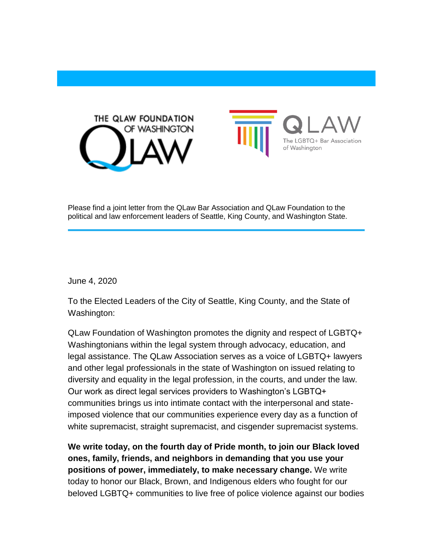



Please find a joint letter from the QLaw Bar Association and QLaw Foundation to the political and law enforcement leaders of Seattle, King County, and Washington State.

June 4, 2020

To the Elected Leaders of the City of Seattle, King County, and the State of Washington:

QLaw Foundation of Washington promotes the dignity and respect of LGBTQ+ Washingtonians within the legal system through advocacy, education, and legal assistance. The QLaw Association serves as a voice of LGBTQ+ lawyers and other legal professionals in the state of Washington on issued relating to diversity and equality in the legal profession, in the courts, and under the law. Our work as direct legal services providers to Washington's LGBTQ+ communities brings us into intimate contact with the interpersonal and stateimposed violence that our communities experience every day as a function of white supremacist, straight supremacist, and cisgender supremacist systems.

**We write today, on the fourth day of Pride month, to join our Black loved ones, family, friends, and neighbors in demanding that you use your positions of power, immediately, to make necessary change.** We write today to honor our Black, Brown, and Indigenous elders who fought for our beloved LGBTQ+ communities to live free of police violence against our bodies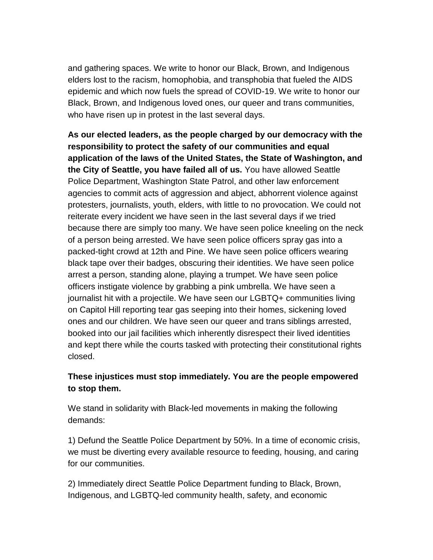and gathering spaces. We write to honor our Black, Brown, and Indigenous elders lost to the racism, homophobia, and transphobia that fueled the AIDS epidemic and which now fuels the spread of COVID-19. We write to honor our Black, Brown, and Indigenous loved ones, our queer and trans communities, who have risen up in protest in the last several days.

**As our elected leaders, as the people charged by our democracy with the responsibility to protect the safety of our communities and equal application of the laws of the United States, the State of Washington, and the City of Seattle, you have failed all of us.** You have allowed Seattle Police Department, Washington State Patrol, and other law enforcement agencies to commit acts of aggression and abject, abhorrent violence against protesters, journalists, youth, elders, with little to no provocation. We could not reiterate every incident we have seen in the last several days if we tried because there are simply too many. We have seen police kneeling on the neck of a person being arrested. We have seen police officers spray gas into a packed-tight crowd at 12th and Pine. We have seen police officers wearing black tape over their badges, obscuring their identities. We have seen police arrest a person, standing alone, playing a trumpet. We have seen police officers instigate violence by grabbing a pink umbrella. We have seen a journalist hit with a projectile. We have seen our LGBTQ+ communities living on Capitol Hill reporting tear gas seeping into their homes, sickening loved ones and our children. We have seen our queer and trans siblings arrested, booked into our jail facilities which inherently disrespect their lived identities and kept there while the courts tasked with protecting their constitutional rights closed.

## **These injustices must stop immediately. You are the people empowered to stop them.**

We stand in solidarity with Black-led movements in making the following demands:

1) Defund the Seattle Police Department by 50%. In a time of economic crisis, we must be diverting every available resource to feeding, housing, and caring for our communities.

2) Immediately direct Seattle Police Department funding to Black, Brown, Indigenous, and LGBTQ-led community health, safety, and economic